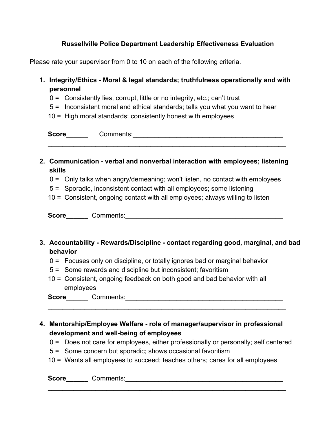## **Russellville Police Department Leadership Effectiveness Evaluation**

Please rate your supervisor from 0 to 10 on each of the following criteria.

- **1. Integrity/Ethics Moral & legal standards; truthfulness operationally and with personnel**
	- 0 = Consistently lies, corrupt, little or no integrity, etc.; can't trust
	- 5 = Inconsistent moral and ethical standards; tells you what you want to hear
	- 10 = High moral standards; consistently honest with employees

**Score\_\_\_\_\_\_** Comments:\_\_\_\_\_\_\_\_\_\_\_\_\_\_\_\_\_\_\_\_\_\_\_\_\_\_\_\_\_\_\_\_\_\_\_\_\_\_\_\_\_

**2. Communication verbal and nonverbal interaction with employees; listening skills**

\_\_\_\_\_\_\_\_\_\_\_\_\_\_\_\_\_\_\_\_\_\_\_\_\_\_\_\_\_\_\_\_\_\_\_\_\_\_\_\_\_\_\_\_\_\_\_\_\_\_\_\_\_\_\_\_\_\_\_\_\_\_\_\_\_

- 0 = Only talks when angry/demeaning; won't listen, no contact with employees
- 5 = Sporadic, inconsistent contact with all employees; some listening
- 10 = Consistent, ongoing contact with all employees; always willing to listen

**Score\_\_\_\_\_\_** Comments:\_\_\_\_\_\_\_\_\_\_\_\_\_\_\_\_\_\_\_\_\_\_\_\_\_\_\_\_\_\_\_\_\_\_\_\_\_\_\_\_\_\_\_

**3. Accountability Rewards/Discipline contact regarding good, marginal, and bad behavior**

\_\_\_\_\_\_\_\_\_\_\_\_\_\_\_\_\_\_\_\_\_\_\_\_\_\_\_\_\_\_\_\_\_\_\_\_\_\_\_\_\_\_\_\_\_\_\_\_\_\_\_\_\_\_\_\_\_\_\_\_\_\_\_\_\_

- 0 = Focuses only on discipline, or totally ignores bad or marginal behavior
- 5 = Some rewards and discipline but inconsistent; favoritism
- 10 = Consistent, ongoing feedback on both good and bad behavior with all employees

| <b>Score</b> | Comments: |  |
|--------------|-----------|--|
|--------------|-----------|--|

**4. Mentorship/Employee Welfare role of manager/supervisor in professional development** and well-being of employees

\_\_\_\_\_\_\_\_\_\_\_\_\_\_\_\_\_\_\_\_\_\_\_\_\_\_\_\_\_\_\_\_\_\_\_\_\_\_\_\_\_\_\_\_\_\_\_\_\_\_\_\_\_\_\_\_\_\_\_\_\_\_\_\_\_

- 0 = Does not care for employees, either professionally or personally; self centered
- 5 = Some concern but sporadic; shows occasional favoritism
- 10 = Wants all employees to succeed; teaches others; cares for all employees

 $\mathcal{L}_\mathcal{L} = \mathcal{L}_\mathcal{L} = \mathcal{L}_\mathcal{L} = \mathcal{L}_\mathcal{L} = \mathcal{L}_\mathcal{L} = \mathcal{L}_\mathcal{L} = \mathcal{L}_\mathcal{L} = \mathcal{L}_\mathcal{L} = \mathcal{L}_\mathcal{L} = \mathcal{L}_\mathcal{L} = \mathcal{L}_\mathcal{L} = \mathcal{L}_\mathcal{L} = \mathcal{L}_\mathcal{L} = \mathcal{L}_\mathcal{L} = \mathcal{L}_\mathcal{L} = \mathcal{L}_\mathcal{L} = \mathcal{L}_\mathcal{L}$ 

**Score\_\_\_\_\_\_** Comments:\_\_\_\_\_\_\_\_\_\_\_\_\_\_\_\_\_\_\_\_\_\_\_\_\_\_\_\_\_\_\_\_\_\_\_\_\_\_\_\_\_\_\_